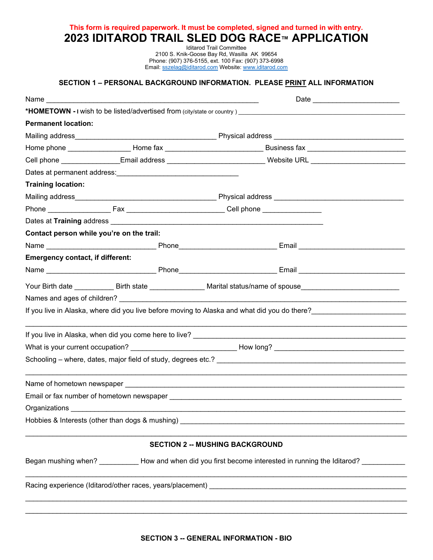**This form is required paperwork. It must be completed, signed and turned in with entry. 2023 IDITAROD TRAIL SLED DOG RACE™ APPLICATION**

> Iditarod Trail Committee 2100 S. Knik-Goose Bay Rd, Wasilla AK 99654 Phone: (907) 376-5155, ext. 100 Fax: (907) 373-6998 Email[: sszelag@iditarod.com](mailto:sszelag@iditarod.com) Website: [www.iditarod.com](http://www.iditarod.com/)

## **SECTION 1 – PERSONAL BACKGROUND INFORMATION. PLEASE PRINT ALL INFORMATION**

|                                                                                                                |                                           | Date _____________________________                                                                                                                                                                             |  |  |  |  |
|----------------------------------------------------------------------------------------------------------------|-------------------------------------------|----------------------------------------------------------------------------------------------------------------------------------------------------------------------------------------------------------------|--|--|--|--|
|                                                                                                                |                                           |                                                                                                                                                                                                                |  |  |  |  |
| <b>Permanent location:</b>                                                                                     |                                           |                                                                                                                                                                                                                |  |  |  |  |
|                                                                                                                |                                           |                                                                                                                                                                                                                |  |  |  |  |
|                                                                                                                |                                           | Home phone ______________________Home fax _________________________________Business fax ______________________                                                                                                 |  |  |  |  |
|                                                                                                                |                                           | Cell phone _________________Email address ____________________________Website URL ________________________                                                                                                     |  |  |  |  |
|                                                                                                                |                                           |                                                                                                                                                                                                                |  |  |  |  |
| <b>Training location:</b>                                                                                      |                                           |                                                                                                                                                                                                                |  |  |  |  |
|                                                                                                                |                                           |                                                                                                                                                                                                                |  |  |  |  |
|                                                                                                                |                                           |                                                                                                                                                                                                                |  |  |  |  |
|                                                                                                                |                                           |                                                                                                                                                                                                                |  |  |  |  |
|                                                                                                                | Contact person while you're on the trail: |                                                                                                                                                                                                                |  |  |  |  |
|                                                                                                                |                                           |                                                                                                                                                                                                                |  |  |  |  |
| <b>Emergency contact, if different:</b>                                                                        |                                           |                                                                                                                                                                                                                |  |  |  |  |
|                                                                                                                |                                           |                                                                                                                                                                                                                |  |  |  |  |
|                                                                                                                |                                           |                                                                                                                                                                                                                |  |  |  |  |
|                                                                                                                |                                           |                                                                                                                                                                                                                |  |  |  |  |
|                                                                                                                |                                           | If you live in Alaska, where did you live before moving to Alaska and what did you do there?<br>The contract of the contract of the contract of the contract of the contract of the contract of the contract o |  |  |  |  |
|                                                                                                                |                                           |                                                                                                                                                                                                                |  |  |  |  |
|                                                                                                                |                                           |                                                                                                                                                                                                                |  |  |  |  |
|                                                                                                                |                                           |                                                                                                                                                                                                                |  |  |  |  |
|                                                                                                                |                                           |                                                                                                                                                                                                                |  |  |  |  |
|                                                                                                                |                                           |                                                                                                                                                                                                                |  |  |  |  |
| Organizations                                                                                                  |                                           |                                                                                                                                                                                                                |  |  |  |  |
|                                                                                                                |                                           |                                                                                                                                                                                                                |  |  |  |  |
|                                                                                                                |                                           | <b>SECTION 2 -- MUSHING BACKGROUND</b>                                                                                                                                                                         |  |  |  |  |
| Began mushing when? ___________ How and when did you first become interested in running the Iditarod? ________ |                                           |                                                                                                                                                                                                                |  |  |  |  |
|                                                                                                                |                                           |                                                                                                                                                                                                                |  |  |  |  |
|                                                                                                                |                                           |                                                                                                                                                                                                                |  |  |  |  |